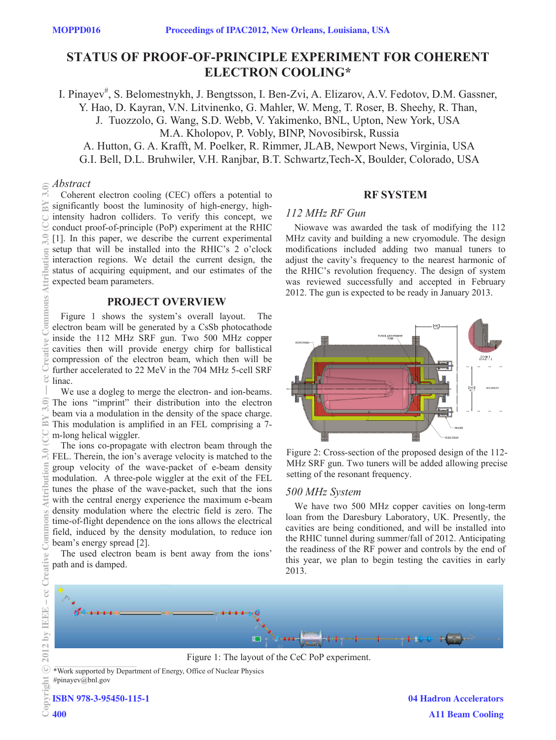# **STATUS OF PROOF-OF-PRINCIPLE EXPERIMENT FOR COHERENT ELECTRON COOLING\***

I. Pinayev<sup>#</sup>, S. Belomestnykh, J. Bengtsson, I. Ben-Zvi, A. Elizarov, A.V. Fedotov, D.M. Gassner, Y. Hao, D. Kayran, V.N. Litvinenko, G. Mahler, W. Meng, T. Roser, B. Sheehy, R. Than, J. Tuozzolo, G. Wang, S.D. Webb, V. Yakimenko, BNL, Upton, New York, USA M.A. Kholopov, P. Vobly, BINP, Novosibirsk, Russia A. Hutton, G. A. Krafft, M. Poelker, R. Rimmer, JLAB, Newport News, Virginia, USA G.I. Bell, D.L. Bruhwiler, V.H. Ranjbar, B.T. Schwartz,Tech-X, Boulder, Colorado, USA

#### *Abstract*  $3.0$

BY

ttribution

Commons

 $\ddot{\circ}$ g

 $\widehat{\in}$ 

ĥ

ribution

Commons

- cc Creative

Coherent electron cooling (CEC) offers a potential to significantly boost the luminosity of high-energy, highintensity hadron colliders. To verify this concept, we conduct proof-of-principle (PoP) experiment at the RHIC [1]. In this paper, we describe the current experimental setup that will be installed into the RHIC's 2 o'clock interaction regions. We detail the current design, the status of acquiring equipment, and our estimates of the expected beam parameters. 2012 by IEEE – cc Creative Commons Attribution 3.0 (CC BY 3.0) — cc Creative Commons Attribution 3.0 (CC BY 3.0)

## **PROJECT OVERVIEW**

Figure 1 shows the system's overall layout. The electron beam will be generated by a CsSb photocathode inside the 112 MHz SRF gun. Two 500 MHz copper cavities then will provide energy chirp for ballistical compression of the electron beam, which then will be further accelerated to 22 MeV in the 704 MHz 5-cell SRF linac.

We use a dogleg to merge the electron- and ion-beams. The ions "imprint" their distribution into the electron beam via a modulation in the density of the space charge. This modulation is amplified in an FEL comprising a 7 m-long helical wiggler.

The ions co-propagate with electron beam through the FEL. Therein, the ion's average velocity is matched to the group velocity of the wave-packet of e-beam density modulation. A three-pole wiggler at the exit of the FEL tunes the phase of the wave-packet, such that the ions with the central energy experience the maximum e-beam density modulation where the electric field is zero. The time-of-flight dependence on the ions allows the electrical field, induced by the density modulation, to reduce ion beam's energy spread [2].

The used electron beam is bent away from the ions' path and is damped.

# **RF SYSTEM**

## *112 MHz RF Gun*

Niowave was awarded the task of modifying the 112 MHz cavity and building a new cryomodule. The design modifications included adding two manual tuners to adjust the cavity's frequency to the nearest harmonic of the RHIC's revolution frequency. The design of system was reviewed successfully and accepted in February 2012. The gun is expected to be ready in January 2013.



Figure 2: Cross-section of the proposed design of the 112- MHz SRF gun. Two tuners will be added allowing precise setting of the resonant frequency.

## *500 MHz System*

We have two 500 MHz copper cavities on long-term loan from the Daresbury Laboratory, UK. Presently, the cavities are being conditioned, and will be installed into the RHIC tunnel during summer/fall of 2012. Anticipating the readiness of the RF power and controls by the end of this year, we plan to begin testing the cavities in early 2013.



Figure 1: The layout of the CeC PoP experiment.

\*Work supported by Department of Energy, Office of Nuclear Physics #pinayev@bnl.gov

ISBN 978-3-95450-115-1

c○

2012 by IEEE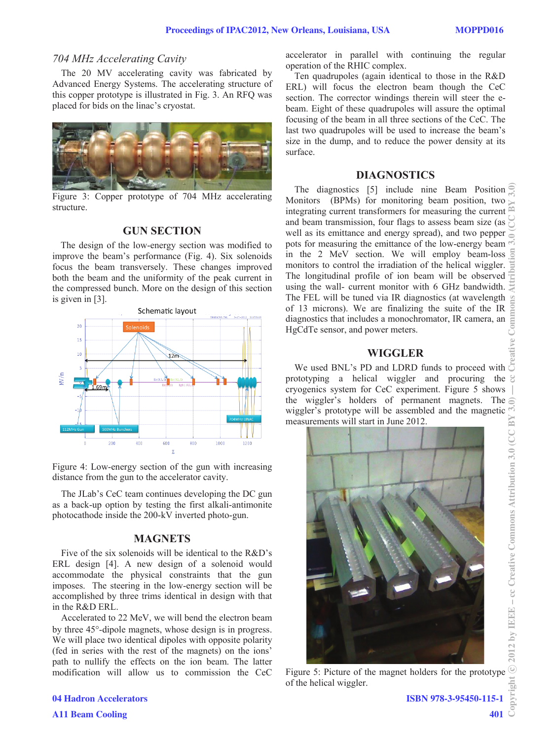### *704 MHz Accelerating Cavity*

The 20 MV accelerating cavity was fabricated by Advanced Energy Systems. The accelerating structure of this copper prototype is illustrated in Fig. 3. An RFQ was placed for bids on the linac's cryostat.



Figure 3: Copper prototype of 704 MHz accelerating structure.

## **GUN SECTION**

The design of the low-energy section was modified to improve the beam's performance (Fig. 4). Six solenoids focus the beam transversely. These changes improved both the beam and the uniformity of the peak current in the compressed bunch. More on the design of this section is given in [3].



Figure 4: Low-energy section of the gun with increasing distance from the gun to the accelerator cavity.

The JLab's CeC team continues developing the DC gun as a back-up option by testing the first alkali-antimonite photocathode inside the 200-kV inverted photo-gun.

### **MAGNETS**

Five of the six solenoids will be identical to the R&D's ERL design [4]. A new design of a solenoid would accommodate the physical constraints that the gun imposes. The steering in the low-energy section will be accomplished by three trims identical in design with that in the R&D ERL.

Accelerated to 22 MeV, we will bend the electron beam by three 45°-dipole magnets, whose design is in progress. We will place two identical dipoles with opposite polarity (fed in series with the rest of the magnets) on the ions' path to nullify the effects on the ion beam. The latter modification will allow us to commission the CeC

accelerator in parallel with continuing the regular operation of the RHIC complex.

Ten quadrupoles (again identical to those in the R&D ERL) will focus the electron beam though the CeC section. The corrector windings therein will steer the ebeam. Eight of these quadrupoles will assure the optimal focusing of the beam in all three sections of the CeC. The last two quadrupoles will be used to increase the beam's size in the dump, and to reduce the power density at its surface.

### **DIAGNOSTICS**

The diagnostics [5] include nine Beam Position Monitors (BPMs) for monitoring beam position, two integrating current transformers for measuring the current and beam transmission, four flags to assess beam size (as well as its emittance and energy spread), and two pepper pots for measuring the emittance of the low-energy beam in the 2 MeV section. We will employ beam-loss monitors to control the irradiation of the helical wiggler. The longitudinal profile of ion beam will be observed using the wall- current monitor with 6 GHz bandwidth. The FEL will be tuned via IR diagnostics (at wavelength  $\approx$ of 13 microns). We are finalizing the suite of the IR diagnostics that includes a monochromator, IR camera, an HgCdTe sensor, and power meters.

## **WIGGLER**

We used BNL's PD and LDRD funds to proceed with prototyping a helical wiggler and procuring the  $\Im$ cryogenics system for CeC experiment. Figure 5 shows the wiggler's holders of permanent magnets. The wiggler's prototype will be assembled and the magnetic measurements will start in June 2012. measurements will start in June 2012.



of the helical wiggler.

04 Hadron Accelerators